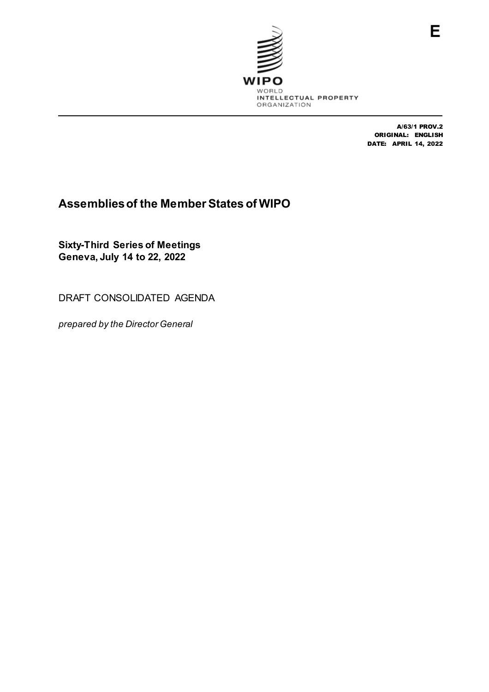

A/63/1 PROV.2 ORIGINAL: ENGLISH DATE: APRIL 14, 2022

# **Assemblies of the Member States of WIPO**

**Sixty-Third Series of Meetings Geneva, July 14 to 22, 2022**

DRAFT CONSOLIDATED AGENDA

*prepared by the Director General*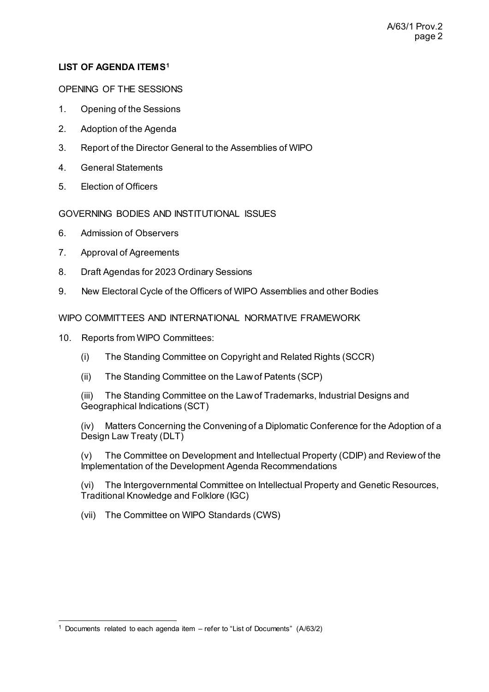# **LIST OF AGENDA ITEMS[1](#page-1-0)**

#### OPENING OF THE SESSIONS

- 1. Opening of the Sessions
- 2. Adoption of the Agenda
- 3. Report of the Director General to the Assemblies of WIPO
- 4. General Statements
- 5. Election of Officers

### GOVERNING BODIES AND INSTITUTIONAL ISSUES

- 6. Admission of Observers
- 7. Approval of Agreements
- 8. Draft Agendas for 2023 Ordinary Sessions
- 9. New Electoral Cycle of the Officers of WIPO Assemblies and other Bodies

WIPO COMMITTEES AND INTERNATIONAL NORMATIVE FRAMEWORK

- 10. Reports from WIPO Committees:
	- (i) The Standing Committee on Copyright and Related Rights (SCCR)
	- (ii) The Standing Committee on the Law of Patents (SCP)

(iii) The Standing Committee on the Law of Trademarks, Industrial Designs and Geographical Indications (SCT)

(iv) Matters Concerning the Convening of a Diplomatic Conference for the Adoption of a Design Law Treaty (DLT)

(v) The Committee on Development and Intellectual Property (CDIP) and Review of the Implementation of the Development Agenda Recommendations

(vi) The Intergovernmental Committee on Intellectual Property and Genetic Resources, Traditional Knowledge and Folklore (IGC)

(vii) The Committee on WIPO Standards (CWS)

<span id="page-1-0"></span> <sup>1</sup> Documents related to each agenda item – refer to "List of Documents" (A/63/2)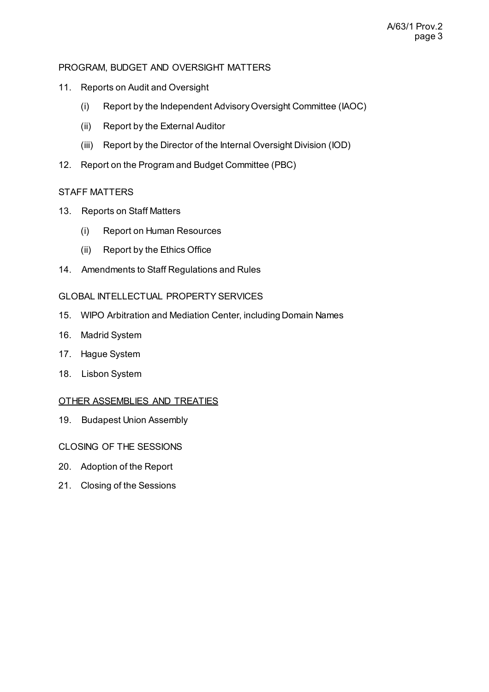### PROGRAM, BUDGET AND OVERSIGHT MATTERS

- 11. Reports on Audit and Oversight
	- (i) Report by the Independent Advisory Oversight Committee (IAOC)
	- (ii) Report by the External Auditor
	- (iii) Report by the Director of the Internal Oversight Division (IOD)
- 12. Report on the Program and Budget Committee (PBC)

### STAFF MATTERS

- 13. Reports on Staff Matters
	- (i) Report on Human Resources
	- (ii) Report by the Ethics Office
- 14. Amendments to Staff Regulations and Rules

# GLOBAL INTELLECTUAL PROPERTY SERVICES

- 15. WIPO Arbitration and Mediation Center, including Domain Names
- 16. Madrid System
- 17. Hague System
- 18. Lisbon System

#### OTHER ASSEMBLIES AND TREATIES

- 19. Budapest Union Assembly
- CLOSING OF THE SESSIONS
- 20. Adoption of the Report
- 21. Closing of the Sessions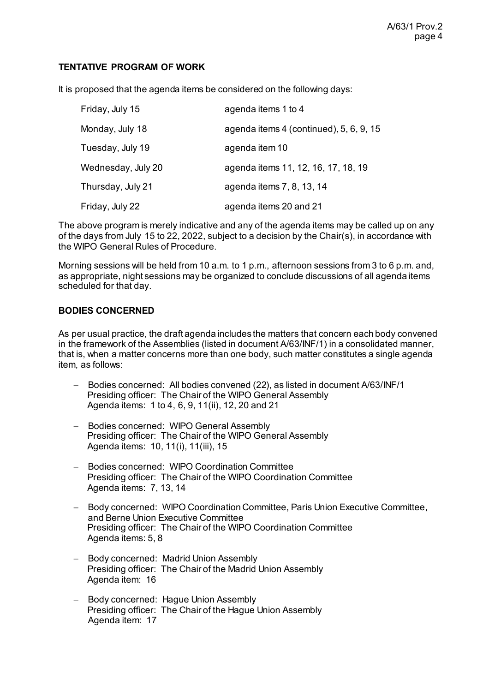### **TENTATIVE PROGRAM OF WORK**

It is proposed that the agenda items be considered on the following days:

| Friday, July 15    | agenda items 1 to 4                     |
|--------------------|-----------------------------------------|
| Monday, July 18    | agenda items 4 (continued), 5, 6, 9, 15 |
| Tuesday, July 19   | agenda item 10                          |
| Wednesday, July 20 | agenda items 11, 12, 16, 17, 18, 19     |
| Thursday, July 21  | agenda items 7, 8, 13, 14               |
| Friday, July 22    | agenda items 20 and 21                  |

The above program is merely indicative and any of the agenda items may be called up on any of the days from July 15 to 22, 2022, subject to a decision by the Chair(s), in accordance with the WIPO General Rules of Procedure.

Morning sessions will be held from 10 a.m. to 1 p.m., afternoon sessions from 3 to 6 p.m. and, as appropriate, night sessions may be organized to conclude discussions of all agenda items scheduled for that day.

#### **BODIES CONCERNED**

As per usual practice, the draft agenda includes the matters that concern each body convened in the framework of the Assemblies (listed in document A/63/INF/1) in a consolidated manner, that is, when a matter concerns more than one body, such matter constitutes a single agenda item, as follows:

- − Bodies concerned: All bodies convened (22), as listed in document A/63/INF/1 Presiding officer: The Chair of the WIPO General Assembly Agenda items: 1 to 4, 6, 9, 11(ii), 12, 20 and 21
- − Bodies concerned: WIPO General Assembly Presiding officer: The Chair of the WIPO General Assembly Agenda items: 10, 11(i), 11(iii), 15
- − Bodies concerned: WIPO Coordination Committee Presiding officer: The Chair of the WIPO Coordination Committee Agenda items: 7, 13, 14
- − Body concerned: WIPO Coordination Committee, Paris Union Executive Committee, and Berne Union Executive Committee Presiding officer: The Chair of the WIPO Coordination Committee Agenda items: 5, 8
- − Body concerned: Madrid Union Assembly Presiding officer: The Chair of the Madrid Union Assembly Agenda item: 16
- − Body concerned: Hague Union Assembly Presiding officer: The Chair of the Hague Union Assembly Agenda item: 17